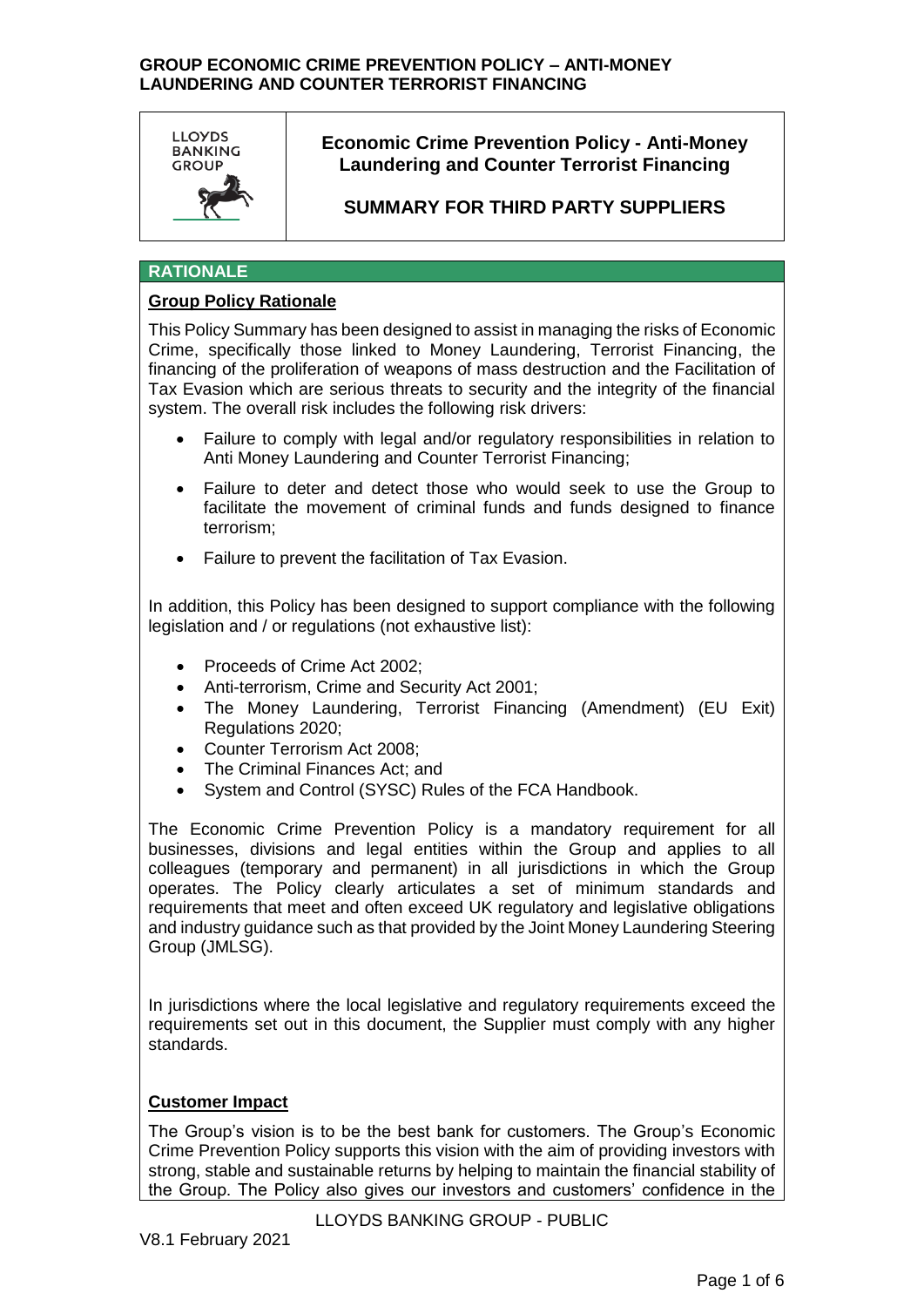

# **Economic Crime Prevention Policy - Anti-Money Laundering and Counter Terrorist Financing**

# **SUMMARY FOR THIRD PARTY SUPPLIERS**

# **RATIONALE**

## **Group Policy Rationale**

This Policy Summary has been designed to assist in managing the risks of Economic Crime, specifically those linked to Money Laundering, Terrorist Financing, the financing of the proliferation of weapons of mass destruction and the Facilitation of Tax Evasion which are serious threats to security and the integrity of the financial system. The overall risk includes the following risk drivers:

- Failure to comply with legal and/or regulatory responsibilities in relation to Anti Money Laundering and Counter Terrorist Financing;
- Failure to deter and detect those who would seek to use the Group to facilitate the movement of criminal funds and funds designed to finance terrorism;
- Failure to prevent the facilitation of Tax Evasion.

In addition, this Policy has been designed to support compliance with the following legislation and / or regulations (not exhaustive list):

- Proceeds of Crime Act 2002;
- Anti-terrorism, Crime and Security Act 2001;
- The Money Laundering, Terrorist Financing (Amendment) (EU Exit) Regulations 2020;
- Counter Terrorism Act 2008:
- The Criminal Finances Act; and
- System and Control (SYSC) Rules of the FCA Handbook.

The Economic Crime Prevention Policy is a mandatory requirement for all businesses, divisions and legal entities within the Group and applies to all colleagues (temporary and permanent) in all jurisdictions in which the Group operates. The Policy clearly articulates a set of minimum standards and requirements that meet and often exceed UK regulatory and legislative obligations and industry guidance such as that provided by the Joint Money Laundering Steering Group (JMLSG).

In jurisdictions where the local legislative and regulatory requirements exceed the requirements set out in this document, the Supplier must comply with any higher standards.

# **Customer Impact**

The Group's vision is to be the best bank for customers. The Group's Economic Crime Prevention Policy supports this vision with the aim of providing investors with strong, stable and sustainable returns by helping to maintain the financial stability of the Group. The Policy also gives our investors and customers' confidence in the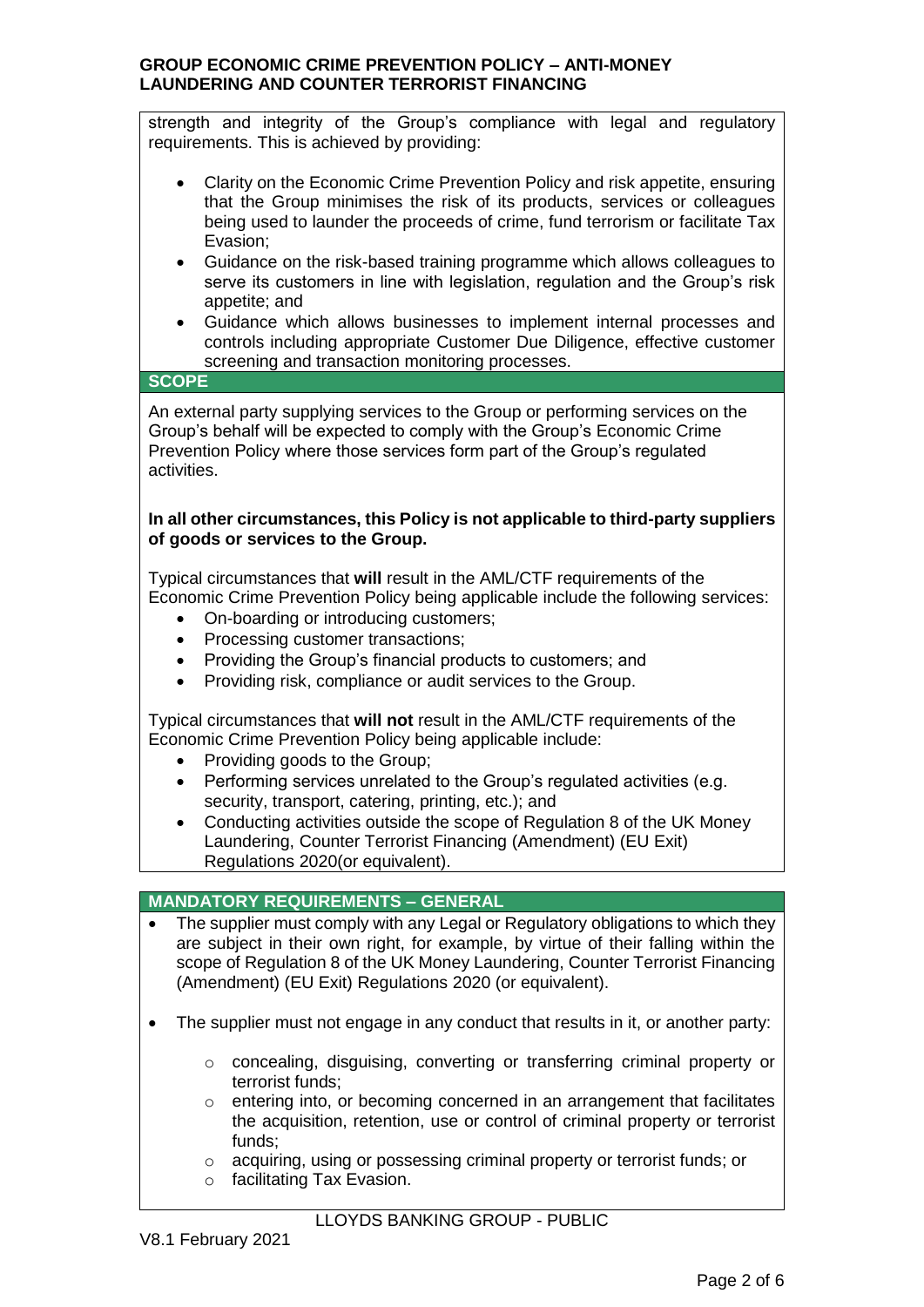strength and integrity of the Group's compliance with legal and regulatory requirements. This is achieved by providing:

- Clarity on the Economic Crime Prevention Policy and risk appetite, ensuring that the Group minimises the risk of its products, services or colleagues being used to launder the proceeds of crime, fund terrorism or facilitate Tax Evasion;
- Guidance on the risk-based training programme which allows colleagues to serve its customers in line with legislation, regulation and the Group's risk appetite; and
- Guidance which allows businesses to implement internal processes and controls including appropriate Customer Due Diligence, effective customer screening and transaction monitoring processes.

# **SCOPE**

An external party supplying services to the Group or performing services on the Group's behalf will be expected to comply with the Group's Economic Crime Prevention Policy where those services form part of the Group's regulated activities.

## **In all other circumstances, this Policy is not applicable to third-party suppliers of goods or services to the Group.**

Typical circumstances that **will** result in the AML/CTF requirements of the Economic Crime Prevention Policy being applicable include the following services:

- On-boarding or introducing customers;
- Processing customer transactions;
- Providing the Group's financial products to customers; and
- Providing risk, compliance or audit services to the Group.

Typical circumstances that **will not** result in the AML/CTF requirements of the Economic Crime Prevention Policy being applicable include:

- Providing goods to the Group;
- Performing services unrelated to the Group's regulated activities (e.g. security, transport, catering, printing, etc.); and
- Conducting activities outside the scope of Regulation 8 of the UK Money Laundering, Counter Terrorist Financing (Amendment) (EU Exit) Regulations 2020(or equivalent).

# **MANDATORY REQUIREMENTS – GENERAL**

- The supplier must comply with any Legal or Regulatory obligations to which they are subject in their own right, for example, by virtue of their falling within the scope of Regulation 8 of the UK Money Laundering, Counter Terrorist Financing (Amendment) (EU Exit) Regulations 2020 (or equivalent).
- The supplier must not engage in any conduct that results in it, or another party:
	- $\circ$  concealing, disguising, converting or transferring criminal property or terrorist funds;
	- o entering into, or becoming concerned in an arrangement that facilitates the acquisition, retention, use or control of criminal property or terrorist funds;
	- o acquiring, using or possessing criminal property or terrorist funds; or
	- o facilitating Tax Evasion.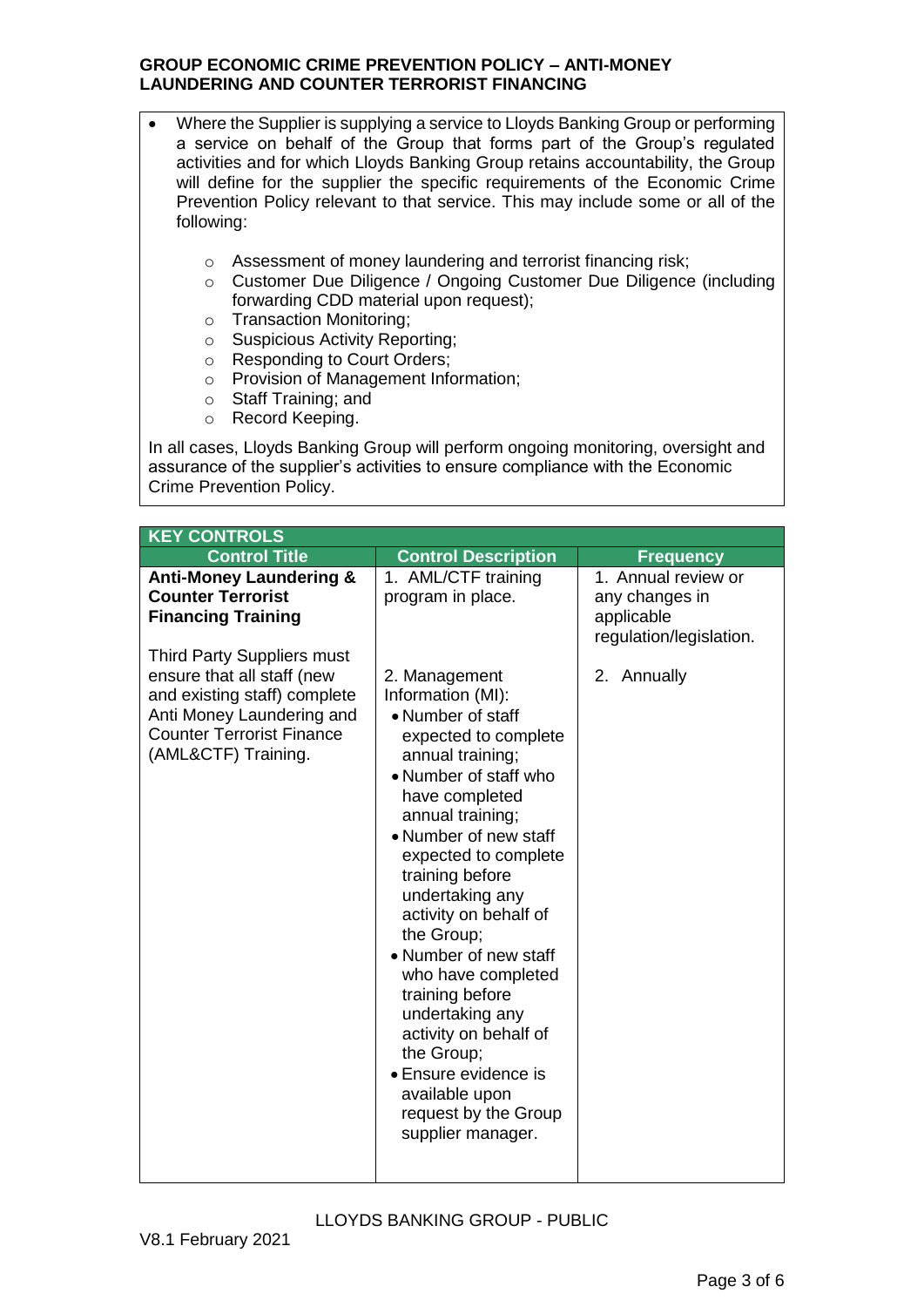- Where the Supplier is supplying a service to Lloyds Banking Group or performing a service on behalf of the Group that forms part of the Group's regulated activities and for which Lloyds Banking Group retains accountability, the Group will define for the supplier the specific requirements of the Economic Crime Prevention Policy relevant to that service. This may include some or all of the following:
	- o Assessment of money laundering and terrorist financing risk;
	- o Customer Due Diligence / Ongoing Customer Due Diligence (including forwarding CDD material upon request);
	- o Transaction Monitoring;
	- o Suspicious Activity Reporting;
	- o Responding to Court Orders;
	- o Provision of Management Information;
	- o Staff Training; and
	- o Record Keeping.

In all cases, Lloyds Banking Group will perform ongoing monitoring, oversight and assurance of the supplier's activities to ensure compliance with the Economic Crime Prevention Policy.

| <b>KEY CONTROLS</b>                                                                                                                                                              |                                                                                                                                                                                                                                                                                                                                                                                                                                                                                                                     |                                                                                |  |  |
|----------------------------------------------------------------------------------------------------------------------------------------------------------------------------------|---------------------------------------------------------------------------------------------------------------------------------------------------------------------------------------------------------------------------------------------------------------------------------------------------------------------------------------------------------------------------------------------------------------------------------------------------------------------------------------------------------------------|--------------------------------------------------------------------------------|--|--|
| <b>Control Title</b>                                                                                                                                                             | <b>Control Description</b>                                                                                                                                                                                                                                                                                                                                                                                                                                                                                          | <b>Frequency</b>                                                               |  |  |
| <b>Anti-Money Laundering &amp;</b><br><b>Counter Terrorist</b><br><b>Financing Training</b>                                                                                      | 1. AML/CTF training<br>program in place.                                                                                                                                                                                                                                                                                                                                                                                                                                                                            | 1. Annual review or<br>any changes in<br>applicable<br>regulation/legislation. |  |  |
| Third Party Suppliers must<br>ensure that all staff (new<br>and existing staff) complete<br>Anti Money Laundering and<br><b>Counter Terrorist Finance</b><br>(AML&CTF) Training. | 2. Management<br>Information (MI):<br>• Number of staff<br>expected to complete<br>annual training;<br>• Number of staff who<br>have completed<br>annual training;<br>• Number of new staff<br>expected to complete<br>training before<br>undertaking any<br>activity on behalf of<br>the Group;<br>• Number of new staff<br>who have completed<br>training before<br>undertaking any<br>activity on behalf of<br>the Group;<br>• Ensure evidence is<br>available upon<br>request by the Group<br>supplier manager. | 2. Annually                                                                    |  |  |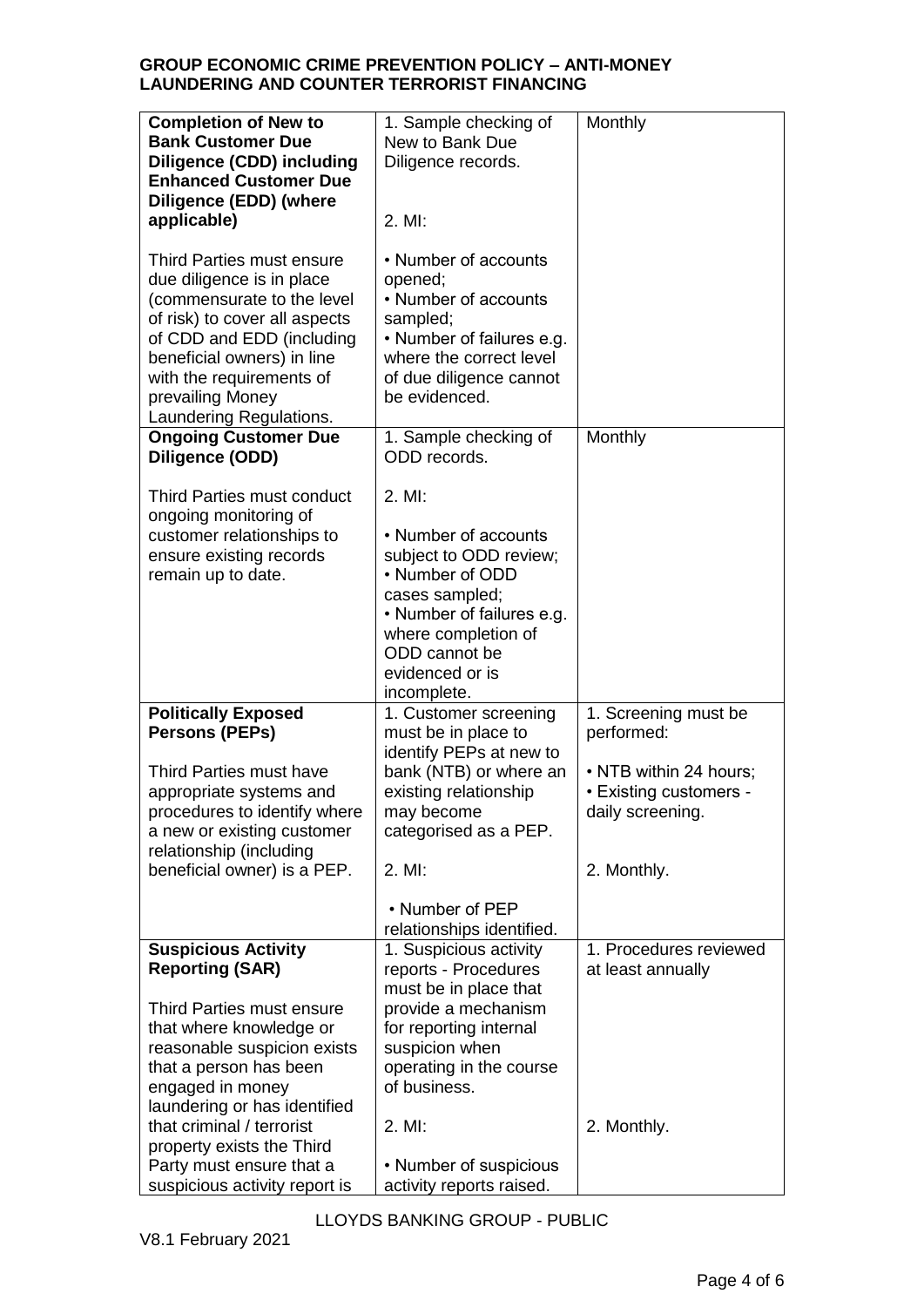| <b>Completion of New to</b><br><b>Bank Customer Due</b><br><b>Diligence (CDD) including</b><br><b>Enhanced Customer Due</b><br><b>Diligence (EDD) (where</b><br>applicable)<br>Third Parties must ensure<br>due diligence is in place<br>(commensurate to the level<br>of risk) to cover all aspects<br>of CDD and EDD (including<br>beneficial owners) in line<br>with the requirements of<br>prevailing Money | 1. Sample checking of<br>New to Bank Due<br>Diligence records.<br>$2.$ MI:<br>• Number of accounts<br>opened;<br>• Number of accounts<br>sampled;<br>• Number of failures e.g.<br>where the correct level<br>of due diligence cannot<br>be evidenced. | Monthly                                                              |
|-----------------------------------------------------------------------------------------------------------------------------------------------------------------------------------------------------------------------------------------------------------------------------------------------------------------------------------------------------------------------------------------------------------------|-------------------------------------------------------------------------------------------------------------------------------------------------------------------------------------------------------------------------------------------------------|----------------------------------------------------------------------|
| Laundering Regulations.<br><b>Ongoing Customer Due</b><br>Diligence (ODD)                                                                                                                                                                                                                                                                                                                                       | 1. Sample checking of<br>ODD records.                                                                                                                                                                                                                 | Monthly                                                              |
| Third Parties must conduct<br>ongoing monitoring of<br>customer relationships to<br>ensure existing records<br>remain up to date.                                                                                                                                                                                                                                                                               | $2.$ MI:<br>• Number of accounts<br>subject to ODD review;<br>• Number of ODD<br>cases sampled;<br>• Number of failures e.g.<br>where completion of<br>ODD cannot be<br>evidenced or is<br>incomplete.                                                |                                                                      |
| <b>Politically Exposed</b><br><b>Persons (PEPs)</b>                                                                                                                                                                                                                                                                                                                                                             | 1. Customer screening<br>must be in place to                                                                                                                                                                                                          | 1. Screening must be<br>performed:                                   |
| Third Parties must have<br>appropriate systems and<br>procedures to identify where<br>a new or existing customer<br>relationship (including                                                                                                                                                                                                                                                                     | identify PEPs at new to<br>bank (NTB) or where an<br>existing relationship<br>may become<br>categorised as a PEP.                                                                                                                                     | • NTB within 24 hours;<br>• Existing customers -<br>daily screening. |
| beneficial owner) is a PEP.                                                                                                                                                                                                                                                                                                                                                                                     | 2. MI:                                                                                                                                                                                                                                                | 2. Monthly.                                                          |
|                                                                                                                                                                                                                                                                                                                                                                                                                 | • Number of PEP<br>relationships identified.                                                                                                                                                                                                          |                                                                      |
| <b>Suspicious Activity</b><br><b>Reporting (SAR)</b><br>Third Parties must ensure<br>that where knowledge or<br>reasonable suspicion exists<br>that a person has been                                                                                                                                                                                                                                           | 1. Suspicious activity<br>reports - Procedures<br>must be in place that<br>provide a mechanism<br>for reporting internal<br>suspicion when<br>operating in the course                                                                                 | 1. Procedures reviewed<br>at least annually                          |
| engaged in money<br>laundering or has identified<br>that criminal / terrorist<br>property exists the Third<br>Party must ensure that a<br>suspicious activity report is                                                                                                                                                                                                                                         | of business.<br>2. MI:<br>• Number of suspicious<br>activity reports raised.                                                                                                                                                                          | 2. Monthly.                                                          |

LLOYDS BANKING GROUP - PUBLIC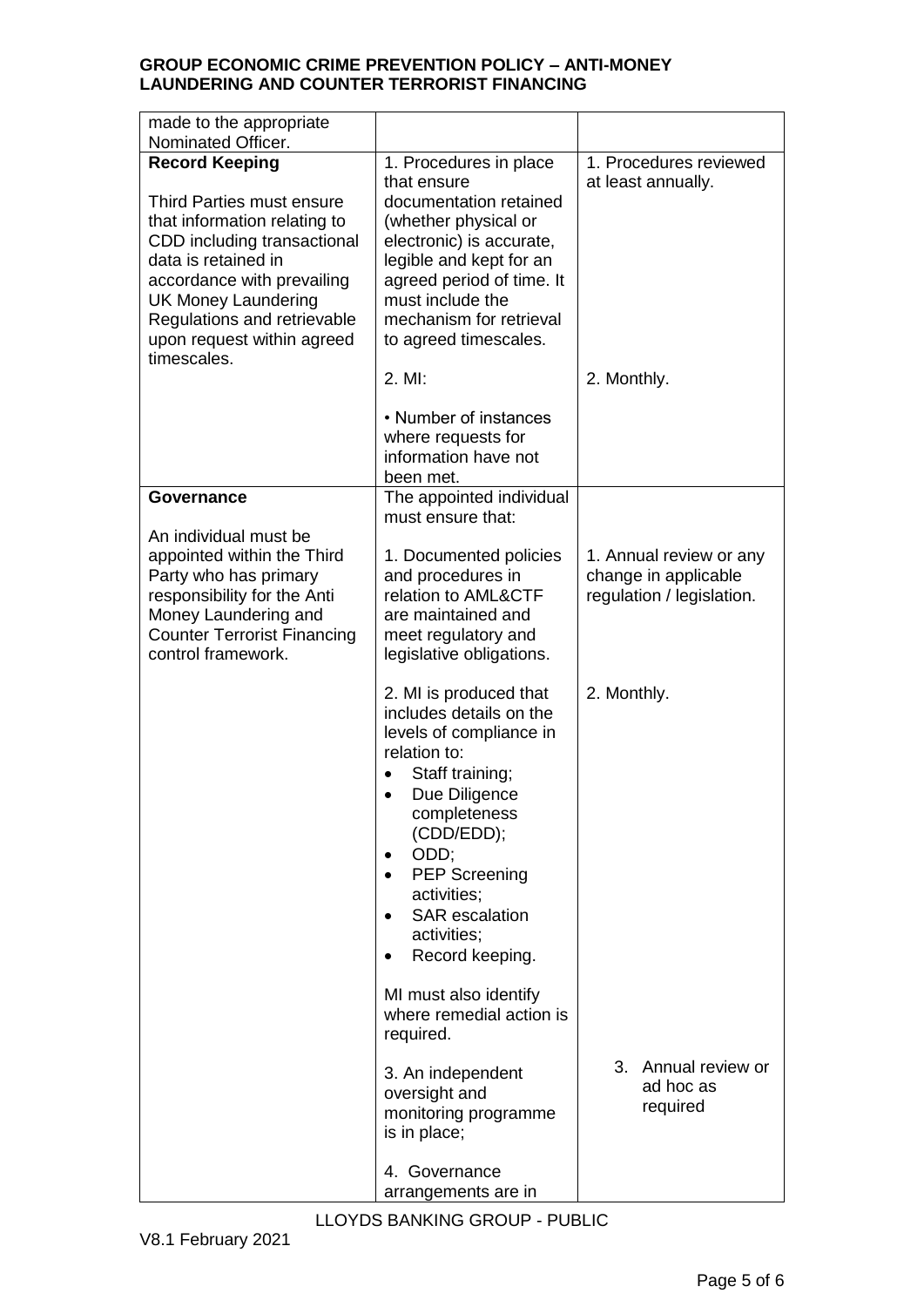| made to the appropriate<br>Nominated Officer.                                                                                                                                                                                                                                    |                                                                                                                                                                                                                                                                                                                |                                                                              |  |
|----------------------------------------------------------------------------------------------------------------------------------------------------------------------------------------------------------------------------------------------------------------------------------|----------------------------------------------------------------------------------------------------------------------------------------------------------------------------------------------------------------------------------------------------------------------------------------------------------------|------------------------------------------------------------------------------|--|
| <b>Record Keeping</b><br>Third Parties must ensure<br>that information relating to<br>CDD including transactional<br>data is retained in<br>accordance with prevailing<br><b>UK Money Laundering</b><br>Regulations and retrievable<br>upon request within agreed<br>timescales. | 1. Procedures in place<br>that ensure<br>documentation retained<br>(whether physical or<br>electronic) is accurate,<br>legible and kept for an<br>agreed period of time. It<br>must include the<br>mechanism for retrieval<br>to agreed timescales.                                                            | 1. Procedures reviewed<br>at least annually.                                 |  |
|                                                                                                                                                                                                                                                                                  | $2.$ MI:                                                                                                                                                                                                                                                                                                       | 2. Monthly.                                                                  |  |
|                                                                                                                                                                                                                                                                                  | • Number of instances<br>where requests for<br>information have not<br>been met.                                                                                                                                                                                                                               |                                                                              |  |
| <b>Governance</b>                                                                                                                                                                                                                                                                | The appointed individual<br>must ensure that:                                                                                                                                                                                                                                                                  |                                                                              |  |
| An individual must be<br>appointed within the Third<br>Party who has primary<br>responsibility for the Anti<br>Money Laundering and<br><b>Counter Terrorist Financing</b><br>control framework.                                                                                  | 1. Documented policies<br>and procedures in<br>relation to AML&CTF<br>are maintained and<br>meet regulatory and<br>legislative obligations.                                                                                                                                                                    | 1. Annual review or any<br>change in applicable<br>regulation / legislation. |  |
|                                                                                                                                                                                                                                                                                  | 2. MI is produced that<br>includes details on the<br>levels of compliance in<br>relation to:<br>Staff training;<br>Due Diligence<br>$\bullet$<br>completeness<br>(CDD/EDD);<br>ODD;<br><b>PEP Screening</b><br>activities;<br><b>SAR</b> escalation<br>activities;<br>Record keeping.<br>MI must also identify | 2. Monthly.                                                                  |  |
|                                                                                                                                                                                                                                                                                  | where remedial action is<br>required.                                                                                                                                                                                                                                                                          |                                                                              |  |
|                                                                                                                                                                                                                                                                                  | 3. An independent<br>oversight and<br>monitoring programme<br>is in place;                                                                                                                                                                                                                                     | 3.<br>Annual review or<br>ad hoc as<br>required                              |  |
|                                                                                                                                                                                                                                                                                  | 4. Governance<br>arrangements are in                                                                                                                                                                                                                                                                           |                                                                              |  |